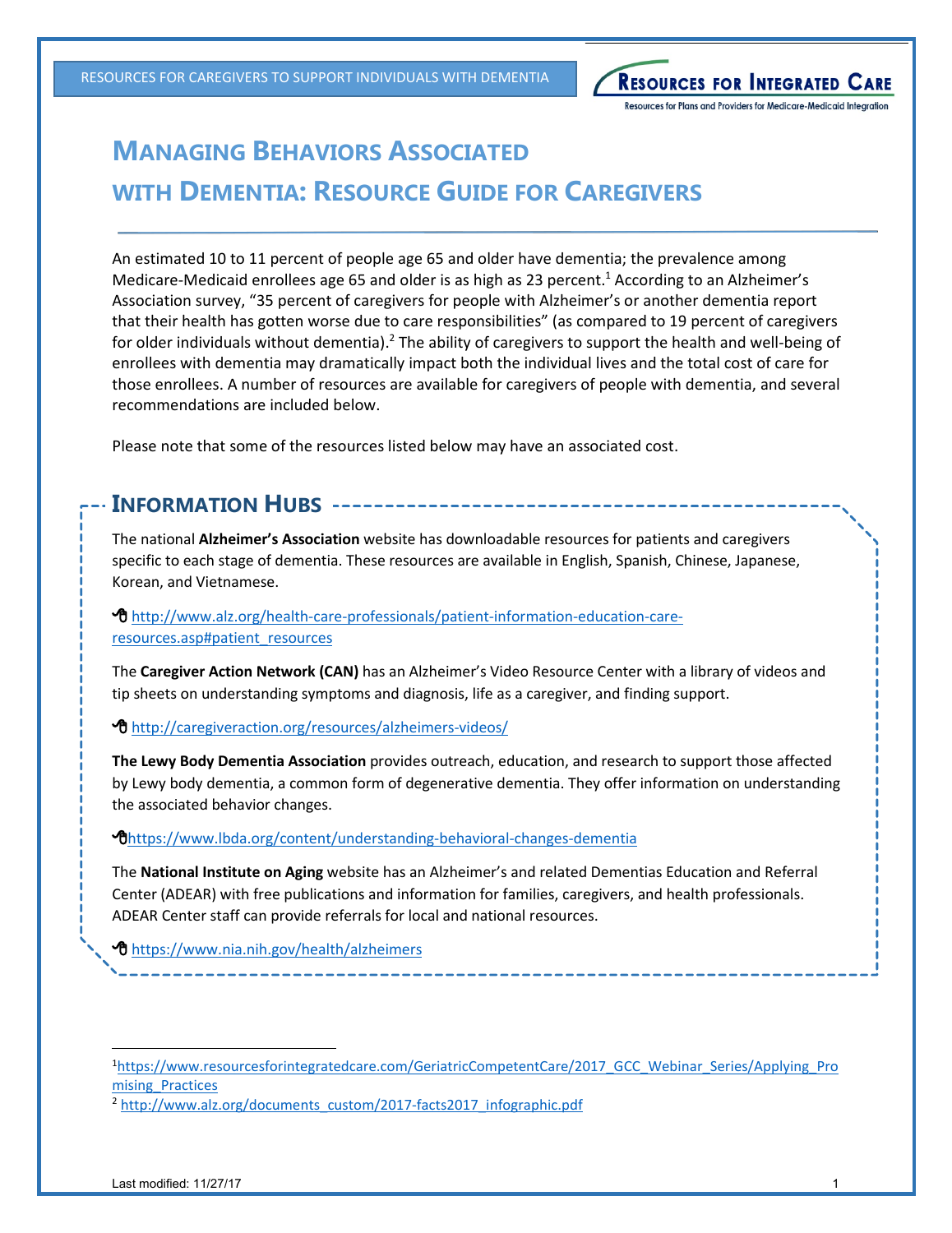RESOURCES FOR CAREGIVERS TO SUPPORT INDIVIDUALS WITH DEMENTIA

# **MANAGING BEHAVIORS ASSOCIATED WITH DEMENTIA: RESOURCE GUIDE FOR CAREGIVERS**

An estimated 10 to 11 percent of people age 65 and older have dementia; the prevalence among Medicare-Medicaid enrollees age 65 and older is as high as 23 percent.<sup>[1](#page-0-0)</sup> According to an Alzheimer's Association survey, "35 percent of caregivers for people with Alzheimer's or another dementia report that their health has gotten worse due to care responsibilities" (as compared to 19 percent of caregivers for older individuals without dementia).<sup>[2](#page-0-1)</sup> The ability of caregivers to support the health and well-being of enrollees with dementia may dramatically impact both the individual lives and the total cost of care for those enrollees. A number of resources are available for caregivers of people with dementia, and several recommendations are included below.

Please note that some of the resources listed below may have an associated cost.

### **INFORMATION HUBS**

The national **Alzheimer's Association** website has downloadable resources for patients and caregivers specific to each stage of dementia. These resources are available in English, Spanish, Chinese, Japanese, Korean, and Vietnamese.

 [http://www.alz.org/health-care-professionals/patient-information-education-care](http://www.alz.org/health-care-professionals/patient-information-education-care-resources.asp)[resources.asp#patient\\_resources](http://www.alz.org/health-care-professionals/patient-information-education-care-resources.asp)

The **Caregiver Action Network (CAN)** has an Alzheimer's Video Resource Center with a library of videos and tip sheets on understanding symptoms and diagnosis, life as a caregiver, and finding support.

[http://caregiveraction.org/resources/alzheimers-video](http://caregiveraction.org/resources/alzheimers-videos/)s/

**The Lewy Body Dementia Association** provides outreach, education, and research to support those affected by Lewy body dementia, a common form of degenerative dementia. They offer information on understanding the associated behavior changes.

### [https://www.lbda.org/content/understanding-behavioral-changes-dementi](https://www.lbda.org/content/understanding-behavioral-changes-dementia)a

The **National Institute on Aging** website has an Alzheimer's and related Dementias Education and Referral Center (ADEAR) with free publications and information for families, caregivers, and health professionals. ADEAR Center staff can provide referrals for local and national resources.

**1** [https://www.nia.nih.gov/health/alzheime](https://www.nia.nih.gov/health/alzheimers)rs

<span id="page-0-1"></span><sup>2</sup> [http://www.alz.org/documents\\_custom/2017-facts2017\\_infographic.pd](http://www.alz.org/documents_custom/2017-facts2017_infographic.pdf)f

**RESOURCES FOR INTEGRATED CARE** Resources for Plans and Providers for Medicare-Medicaid Integration

<span id="page-0-0"></span><sup>1</sup>[https://www.resourcesforintegratedcare.com/GeriatricCompetentCare/2017\\_GCC\\_Webinar\\_Series/Applying\\_Pro](https://www.resourcesforintegratedcare.com/GeriatricCompetentCare/2017_GCC_Webinar_Series/Applying_Promising_Practices) mising Practices